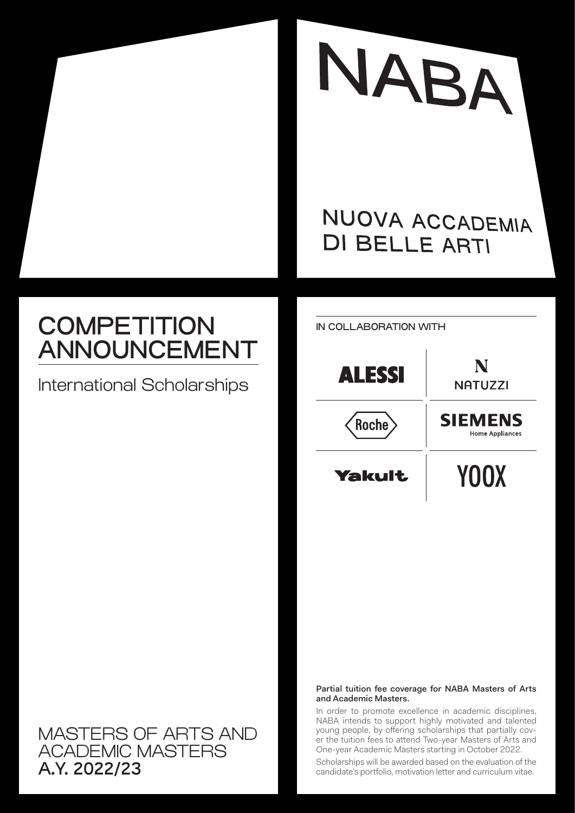

## NUOVA ACCADEMIA **DI BELLE ARTI**

# **COMPETITION** ANNOUNCEMENT

International Scholarships



IN COLLABORATION WITH

#### Partial tuition fee coverage for NABA Masters of Arts and Academic Masters.

In order to promote excellence in academic disciplines, NABA intends to support highly motivated and talented young people, by offering scholarships that partially cover the tuition fees to attend Two-year Masters of Arts and One-year Academic Masters starting in October 2022.

Scholarships will be awarded based on the evaluation of the candidate's portfolio, motivation letter and curriculum vitae.

### MASTERS OF ARTS AND ACADEMIC MASTERS A.Y. 2022/23